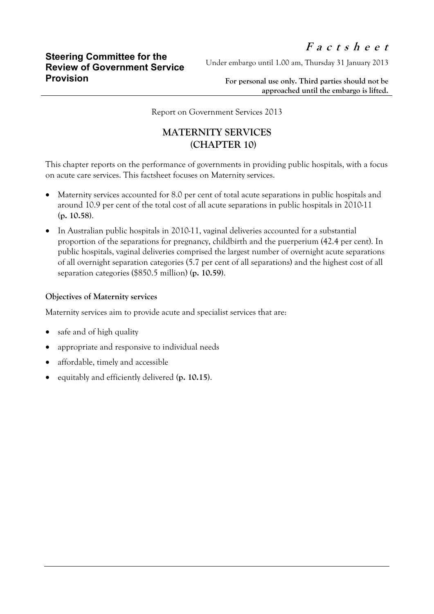Under embargo until 1.00 am, Thursday 31 January 2013

**For personal use only. Third parties should not be approached until the embargo is lifted.**

Report on Government Services 2013

## **MATERNITY SERVICES (CHAPTER 10)**

This chapter reports on the performance of governments in providing public hospitals, with a focus on acute care services. This factsheet focuses on Maternity services.

- Maternity services accounted for 8.0 per cent of total acute separations in public hospitals and around 10.9 per cent of the total cost of all acute separations in public hospitals in 2010-11 **(p. 10.58)**.
- In Australian public hospitals in 2010-11, vaginal deliveries accounted for a substantial proportion of the separations for pregnancy, childbirth and the puerperium (42.4 per cent). In public hospitals, vaginal deliveries comprised the largest number of overnight acute separations of all overnight separation categories (5.7 per cent of all separations) and the highest cost of all separation categories (\$850.5 million) **(p. 10.59)**.

## **Objectives of Maternity services**

Maternity services aim to provide acute and specialist services that are:

- safe and of high quality
- appropriate and responsive to individual needs
- affordable, timely and accessible
- equitably and efficiently delivered **(p. 10.15)**.